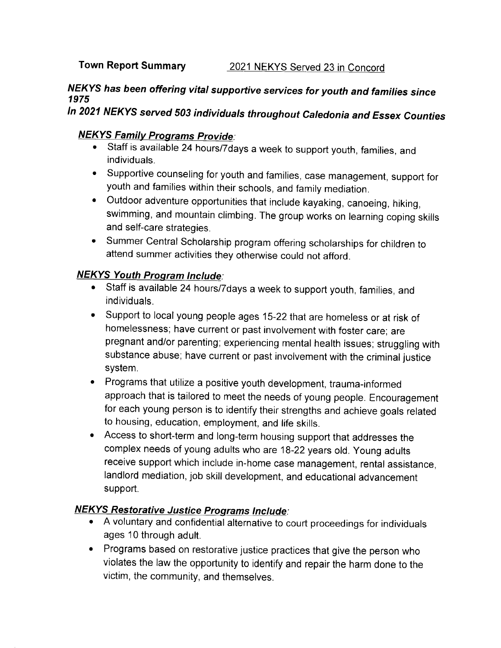## Town Report Summary 2021 NEKYS Served 23 in Concord

## NEKYS has been offering vital supportive services for youth and families since 1975

# In 2021 NEKYS served 503 individuals throughout Caledonia and Essex Counties

### **NEKYS Family Programs Provide:**

- ' Staff is available 24 hours/7days a week to support youth, families, and individuals.
- ' Supportive counseling for youth and families, case management, support for youth and families within their schools, and family mediation.
- Outdoor adventure opportunities that include kayaking, canoeing, hiking, swimming, and mountain climbing. The group works on learning coping skills and self-care strategies.
- ' Summer Central Scholarship program offering scholarships for children to attend summer activities they otherwise could not afford.

#### NEKYS Youth Program lnclude.

- Staff is available 24 hours/7days a week to support youth, families, and individuals.
- Support to local young people ages 15-22 that are homeless or at risk of homelessness; have current or past involvement with foster care; are pregnant and/or parenting; experiencing mental health issues; struggling with substance abuse; have current or past involvement with the criminal justice system.
- . Programs that utilize a positive youth development, trauma-informed approach that is tailored to meet the needs of young people. Encouragement for each young person is to identify their strengths and achieve goals related to housing, education, employment, and life skills.
- . Access to short-term and long-term housing support that addresses the complex needs of young adults who are 18-22 years old. Young adults receive support which include in-home case management, rental assistance, landlord mediation, job skill development, and educational advancement support.

## **NEKYS Restorative Justice Programs Include:**

- . A voluntary and confidential alternative to courl proceedings for individuals ages 10 through adult.
- . Programs based on restorative justice practices that give the person who violates the law the opportunity to identify and repair the harm done to the victim, the community, and themselves.